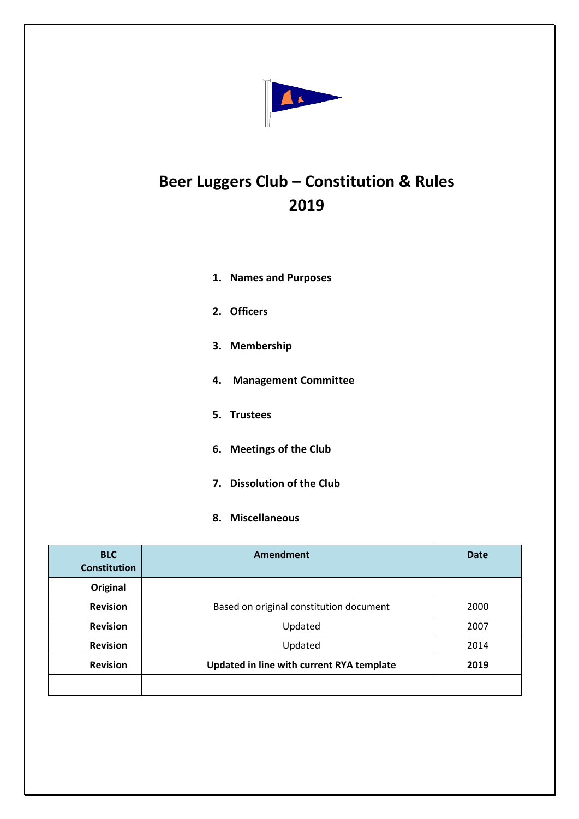

# **Beer Luggers Club – Constitution & Rules 2019**

|    | 1. Names and Purposes       |
|----|-----------------------------|
|    | 2. Officers                 |
|    | 3. Membership               |
| 4. | <b>Management Committee</b> |
|    | 5. Trustees                 |
| 6. | <b>Meetings of the Club</b> |

- **7. Dissolution of the Club**
- **8. Miscellaneous**

| <b>BLC</b><br><b>Constitution</b> | Amendment                                 | <b>Date</b> |
|-----------------------------------|-------------------------------------------|-------------|
| Original                          |                                           |             |
| <b>Revision</b>                   | Based on original constitution document   | 2000        |
| <b>Revision</b>                   | Updated                                   | 2007        |
| <b>Revision</b>                   | Updated                                   | 2014        |
| <b>Revision</b>                   | Updated in line with current RYA template | 2019        |
|                                   |                                           |             |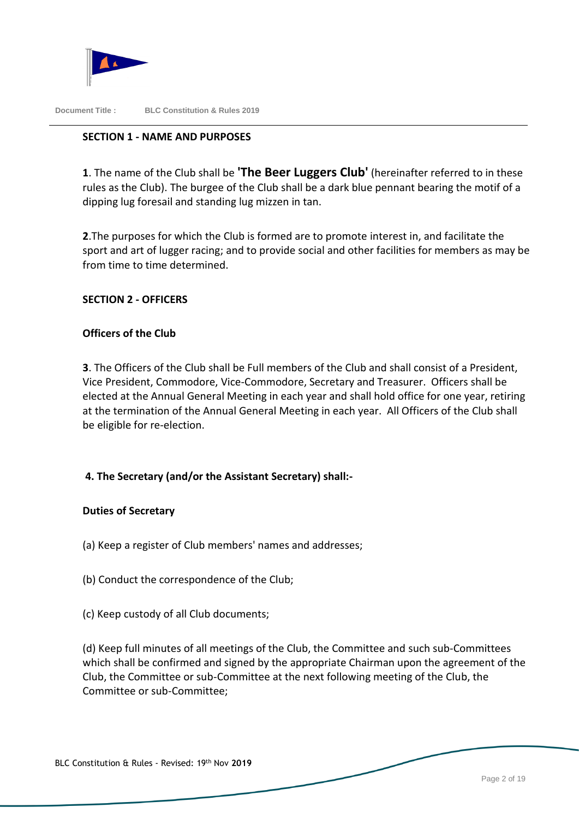

# **SECTION 1 - NAME AND PURPOSES**

**1**. The name of the Club shall be **'The Beer Luggers Club'** (hereinafter referred to in these rules as the Club). The burgee of the Club shall be a dark blue pennant bearing the motif of a dipping lug foresail and standing lug mizzen in tan.

**2**.The purposes for which the Club is formed are to promote interest in, and facilitate the sport and art of lugger racing; and to provide social and other facilities for members as may be from time to time determined.

# **SECTION 2 - OFFICERS**

# **Officers of the Club**

**3**. The Officers of the Club shall be Full members of the Club and shall consist of a President, Vice President, Commodore, Vice-Commodore, Secretary and Treasurer. Officers shall be elected at the Annual General Meeting in each year and shall hold office for one year, retiring at the termination of the Annual General Meeting in each year. All Officers of the Club shall be eligible for re-election.

# **4. The Secretary (and/or the Assistant Secretary) shall:-**

# **Duties of Secretary**

- (a) Keep a register of Club members' names and addresses;
- (b) Conduct the correspondence of the Club;
- (c) Keep custody of all Club documents;

(d) Keep full minutes of all meetings of the Club, the Committee and such sub-Committees which shall be confirmed and signed by the appropriate Chairman upon the agreement of the Club, the Committee or sub-Committee at the next following meeting of the Club, the Committee or sub-Committee;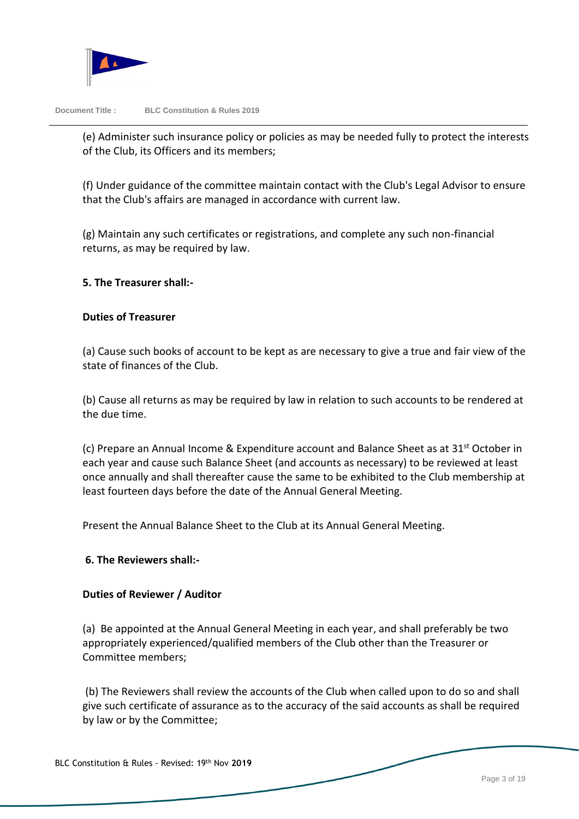

(e) Administer such insurance policy or policies as may be needed fully to protect the interests of the Club, its Officers and its members;

(f) Under guidance of the committee maintain contact with the Club's Legal Advisor to ensure that the Club's affairs are managed in accordance with current law.

(g) Maintain any such certificates or registrations, and complete any such non-financial returns, as may be required by law.

# **5. The Treasurer shall:-**

# **Duties of Treasurer**

(a) Cause such books of account to be kept as are necessary to give a true and fair view of the state of finances of the Club.

(b) Cause all returns as may be required by law in relation to such accounts to be rendered at the due time.

(c) Prepare an Annual Income & Expenditure account and Balance Sheet as at 31st October in each year and cause such Balance Sheet (and accounts as necessary) to be reviewed at least once annually and shall thereafter cause the same to be exhibited to the Club membership at least fourteen days before the date of the Annual General Meeting.

Present the Annual Balance Sheet to the Club at its Annual General Meeting.

# **6. The Reviewers shall:-**

# **Duties of Reviewer / Auditor**

(a) Be appointed at the Annual General Meeting in each year, and shall preferably be two appropriately experienced/qualified members of the Club other than the Treasurer or Committee members;

(b) The Reviewers shall review the accounts of the Club when called upon to do so and shall give such certificate of assurance as to the accuracy of the said accounts as shall be required by law or by the Committee;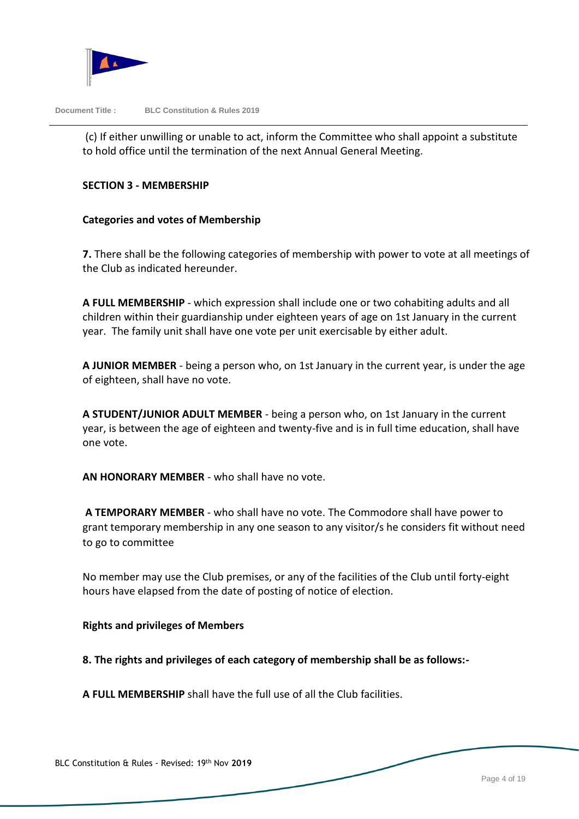

(c) If either unwilling or unable to act, inform the Committee who shall appoint a substitute to hold office until the termination of the next Annual General Meeting.

# **SECTION 3 - MEMBERSHIP**

# **Categories and votes of Membership**

**7.** There shall be the following categories of membership with power to vote at all meetings of the Club as indicated hereunder.

**A FULL MEMBERSHIP** - which expression shall include one or two cohabiting adults and all children within their guardianship under eighteen years of age on 1st January in the current year. The family unit shall have one vote per unit exercisable by either adult.

**A JUNIOR MEMBER** - being a person who, on 1st January in the current year, is under the age of eighteen, shall have no vote.

**A STUDENT/JUNIOR ADULT MEMBER** - being a person who, on 1st January in the current year, is between the age of eighteen and twenty-five and is in full time education, shall have one vote.

**AN HONORARY MEMBER** - who shall have no vote.

**A TEMPORARY MEMBER** - who shall have no vote. The Commodore shall have power to grant temporary membership in any one season to any visitor/s he considers fit without need to go to committee

No member may use the Club premises, or any of the facilities of the Club until forty-eight hours have elapsed from the date of posting of notice of election.

#### **Rights and privileges of Members**

**8. The rights and privileges of each category of membership shall be as follows:-**

**A FULL MEMBERSHIP** shall have the full use of all the Club facilities.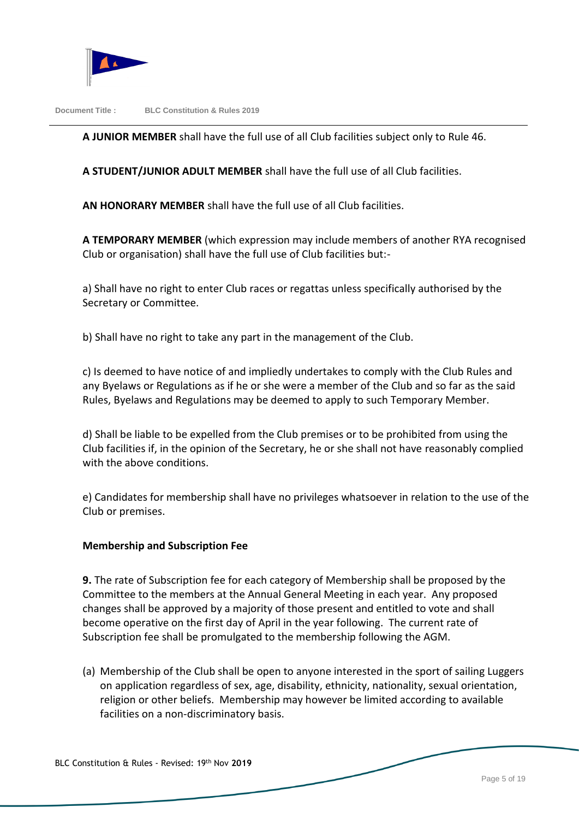

**A JUNIOR MEMBER** shall have the full use of all Club facilities subject only to Rule 46.

**A STUDENT/JUNIOR ADULT MEMBER** shall have the full use of all Club facilities.

**AN HONORARY MEMBER** shall have the full use of all Club facilities.

**A TEMPORARY MEMBER** (which expression may include members of another RYA recognised Club or organisation) shall have the full use of Club facilities but:-

a) Shall have no right to enter Club races or regattas unless specifically authorised by the Secretary or Committee.

b) Shall have no right to take any part in the management of the Club.

c) Is deemed to have notice of and impliedly undertakes to comply with the Club Rules and any Byelaws or Regulations as if he or she were a member of the Club and so far as the said Rules, Byelaws and Regulations may be deemed to apply to such Temporary Member.

d) Shall be liable to be expelled from the Club premises or to be prohibited from using the Club facilities if, in the opinion of the Secretary, he or she shall not have reasonably complied with the above conditions.

e) Candidates for membership shall have no privileges whatsoever in relation to the use of the Club or premises.

# **Membership and Subscription Fee**

**9.** The rate of Subscription fee for each category of Membership shall be proposed by the Committee to the members at the Annual General Meeting in each year. Any proposed changes shall be approved by a majority of those present and entitled to vote and shall become operative on the first day of April in the year following. The current rate of Subscription fee shall be promulgated to the membership following the AGM.

(a) Membership of the Club shall be open to anyone interested in the sport of sailing Luggers on application regardless of sex, age, disability, ethnicity, nationality, sexual orientation, religion or other beliefs. Membership may however be limited according to available facilities on a non-discriminatory basis.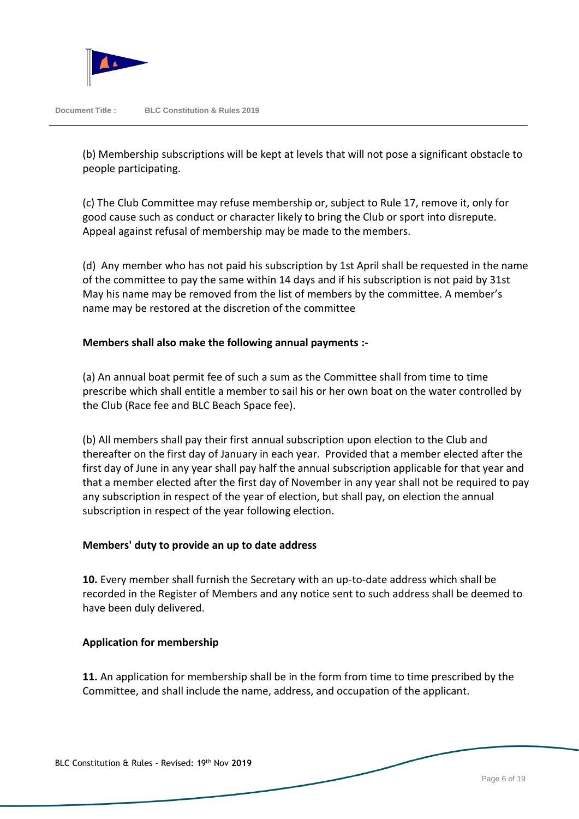

(b) Membership subscriptions will be kept at levels that will not pose a significant obstacle to people participating.

(c) The Club Committee may refuse membership or, subject to Rule 17, remove it, only for good cause such as conduct or character likely to bring the Club or sport into disrepute. Appeal against refusal of membership may be made to the members.

(d) Any member who has not paid his subscription by 1st April shall be requested in the name of the committee to pay the same within 14 days and if his subscription is not paid by 31st May his name may be removed from the list of members by the committee. A member's name may be restored at the discretion of the committee

# **Members shall also make the following annual payments :-**

(a) An annual boat permit fee of such a sum as the Committee shall from time to time prescribe which shall entitle a member to sail his or her own boat on the water controlled by the Club (Race fee and BLC Beach Space fee).

(b) All members shall pay their first annual subscription upon election to the Club and thereafter on the first day of January in each year. Provided that a member elected after the first day of June in any year shall pay half the annual subscription applicable for that year and that a member elected after the first day of November in any year shall not be required to pay any subscription in respect of the year of election, but shall pay, on election the annual subscription in respect of the year following election.

# **Members' duty to provide an up to date address**

**10.** Every member shall furnish the Secretary with an up-to-date address which shall be recorded in the Register of Members and any notice sent to such address shall be deemed to have been duly delivered.

# **Application for membership**

**11.** An application for membership shall be in the form from time to time prescribed by the Committee, and shall include the name, address, and occupation of the applicant.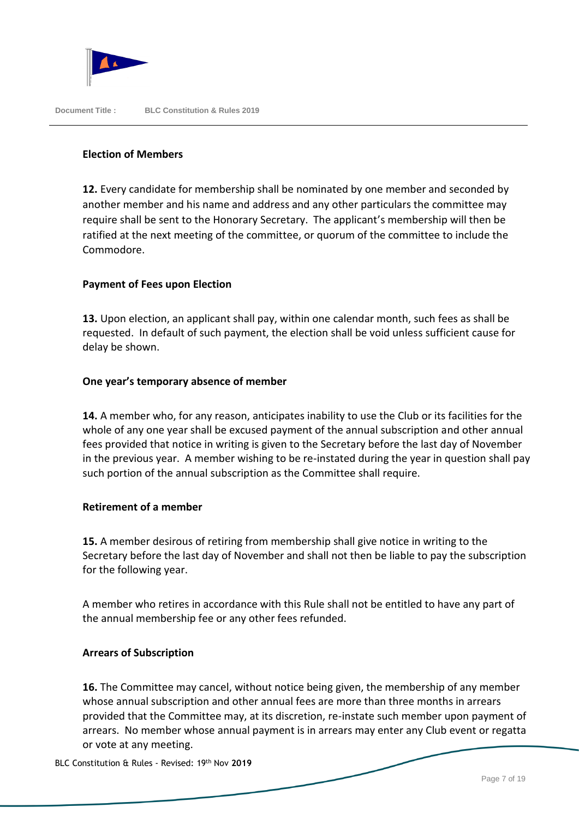

# **Election of Members**

**12.** Every candidate for membership shall be nominated by one member and seconded by another member and his name and address and any other particulars the committee may require shall be sent to the Honorary Secretary. The applicant's membership will then be ratified at the next meeting of the committee, or quorum of the committee to include the Commodore.

# **Payment of Fees upon Election**

**13.** Upon election, an applicant shall pay, within one calendar month, such fees as shall be requested. In default of such payment, the election shall be void unless sufficient cause for delay be shown.

# **One year's temporary absence of member**

**14.** A member who, for any reason, anticipates inability to use the Club or its facilities for the whole of any one year shall be excused payment of the annual subscription and other annual fees provided that notice in writing is given to the Secretary before the last day of November in the previous year. A member wishing to be re-instated during the year in question shall pay such portion of the annual subscription as the Committee shall require.

# **Retirement of a member**

**15.** A member desirous of retiring from membership shall give notice in writing to the Secretary before the last day of November and shall not then be liable to pay the subscription for the following year.

A member who retires in accordance with this Rule shall not be entitled to have any part of the annual membership fee or any other fees refunded.

# **Arrears of Subscription**

**16.** The Committee may cancel, without notice being given, the membership of any member whose annual subscription and other annual fees are more than three months in arrears provided that the Committee may, at its discretion, re-instate such member upon payment of arrears. No member whose annual payment is in arrears may enter any Club event or regatta or vote at any meeting.

BLC Constitution & Rules - Revised: 19th Nov **2019**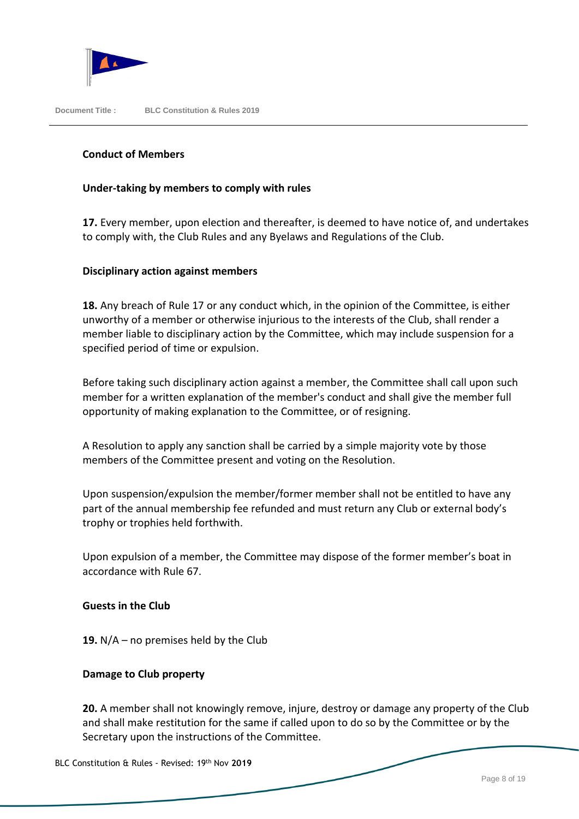

# **Conduct of Members**

#### **Under-taking by members to comply with rules**

**17.** Every member, upon election and thereafter, is deemed to have notice of, and undertakes to comply with, the Club Rules and any Byelaws and Regulations of the Club.

#### **Disciplinary action against members**

**18.** Any breach of Rule 17 or any conduct which, in the opinion of the Committee, is either unworthy of a member or otherwise injurious to the interests of the Club, shall render a member liable to disciplinary action by the Committee, which may include suspension for a specified period of time or expulsion.

Before taking such disciplinary action against a member, the Committee shall call upon such member for a written explanation of the member's conduct and shall give the member full opportunity of making explanation to the Committee, or of resigning.

A Resolution to apply any sanction shall be carried by a simple majority vote by those members of the Committee present and voting on the Resolution.

Upon suspension/expulsion the member/former member shall not be entitled to have any part of the annual membership fee refunded and must return any Club or external body's trophy or trophies held forthwith.

Upon expulsion of a member, the Committee may dispose of the former member's boat in accordance with Rule 67.

#### **Guests in the Club**

**19.** N/A – no premises held by the Club

# **Damage to Club property**

**20.** A member shall not knowingly remove, injure, destroy or damage any property of the Club and shall make restitution for the same if called upon to do so by the Committee or by the Secretary upon the instructions of the Committee.

BLC Constitution & Rules - Revised: 19th Nov **2019**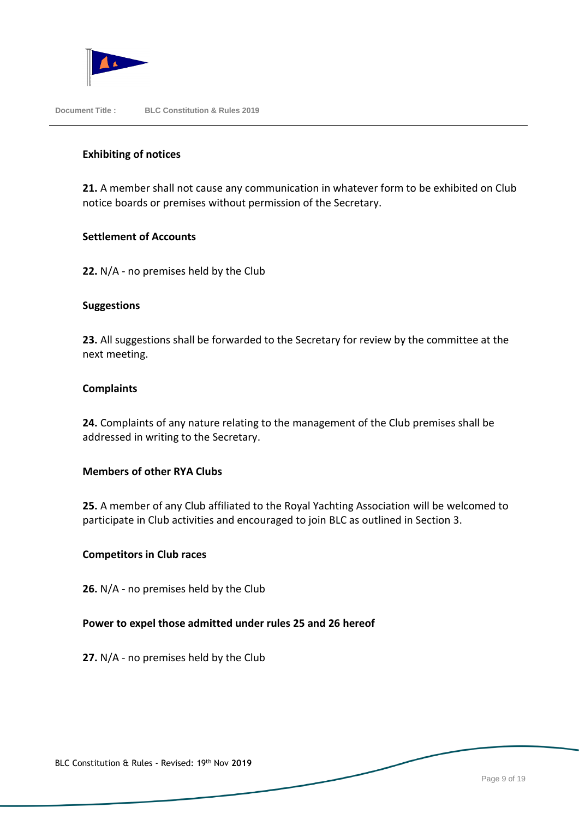

#### **Exhibiting of notices**

**21.** A member shall not cause any communication in whatever form to be exhibited on Club notice boards or premises without permission of the Secretary.

#### **Settlement of Accounts**

**22.** N/A - no premises held by the Club

#### **Suggestions**

**23.** All suggestions shall be forwarded to the Secretary for review by the committee at the next meeting.

#### **Complaints**

**24.** Complaints of any nature relating to the management of the Club premises shall be addressed in writing to the Secretary.

#### **Members of other RYA Clubs**

**25.** A member of any Club affiliated to the Royal Yachting Association will be welcomed to participate in Club activities and encouraged to join BLC as outlined in Section 3.

#### **Competitors in Club races**

**26.** N/A - no premises held by the Club

#### **Power to expel those admitted under rules 25 and 26 hereof**

**27.** N/A - no premises held by the Club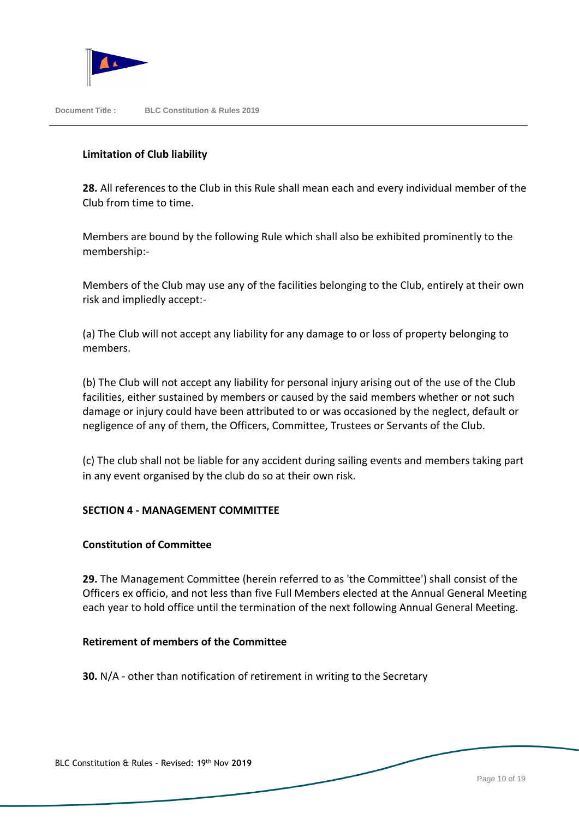

# **Limitation of Club liability**

**28.** All references to the Club in this Rule shall mean each and every individual member of the Club from time to time.

Members are bound by the following Rule which shall also be exhibited prominently to the membership:-

Members of the Club may use any of the facilities belonging to the Club, entirely at their own risk and impliedly accept:-

(a) The Club will not accept any liability for any damage to or loss of property belonging to members.

(b) The Club will not accept any liability for personal injury arising out of the use of the Club facilities, either sustained by members or caused by the said members whether or not such damage or injury could have been attributed to or was occasioned by the neglect, default or negligence of any of them, the Officers, Committee, Trustees or Servants of the Club.

(c) The club shall not be liable for any accident during sailing events and members taking part in any event organised by the club do so at their own risk.

# **SECTION 4 - MANAGEMENT COMMITTEE**

# **Constitution of Committee**

**29.** The Management Committee (herein referred to as 'the Committee') shall consist of the Officers ex officio, and not less than five Full Members elected at the Annual General Meeting each year to hold office until the termination of the next following Annual General Meeting.

# **Retirement of members of the Committee**

**30.** N/A - other than notification of retirement in writing to the Secretary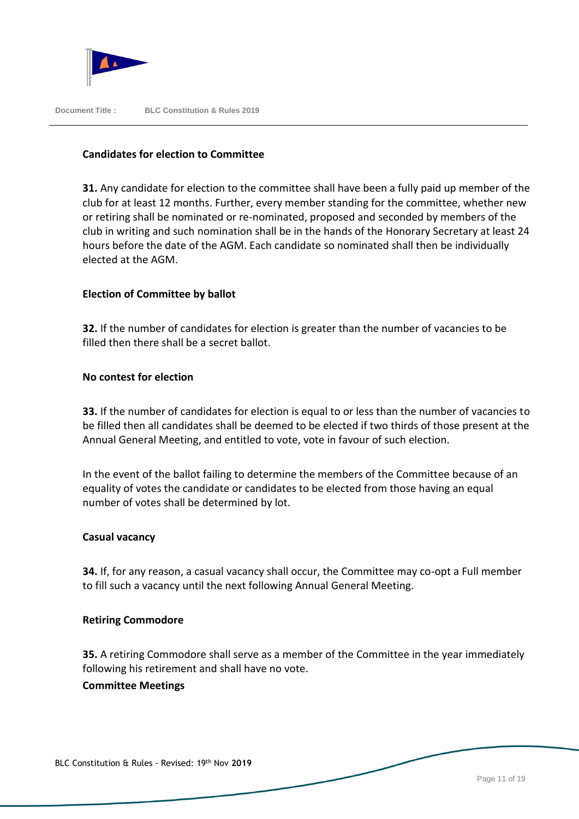

# **Candidates for election to Committee**

**31.** Any candidate for election to the committee shall have been a fully paid up member of the club for at least 12 months. Further, every member standing for the committee, whether new or retiring shall be nominated or re-nominated, proposed and seconded by members of the club in writing and such nomination shall be in the hands of the Honorary Secretary at least 24 hours before the date of the AGM. Each candidate so nominated shall then be individually elected at the AGM.

# **Election of Committee by ballot**

**32.** If the number of candidates for election is greater than the number of vacancies to be filled then there shall be a secret ballot.

# **No contest for election**

**33.** If the number of candidates for election is equal to or less than the number of vacancies to be filled then all candidates shall be deemed to be elected if two thirds of those present at the Annual General Meeting, and entitled to vote, vote in favour of such election.

In the event of the ballot failing to determine the members of the Committee because of an equality of votes the candidate or candidates to be elected from those having an equal number of votes shall be determined by lot.

# **Casual vacancy**

**34.** If, for any reason, a casual vacancy shall occur, the Committee may co-opt a Full member to fill such a vacancy until the next following Annual General Meeting.

# **Retiring Commodore**

**35.** A retiring Commodore shall serve as a member of the Committee in the year immediately following his retirement and shall have no vote.

# **Committee Meetings**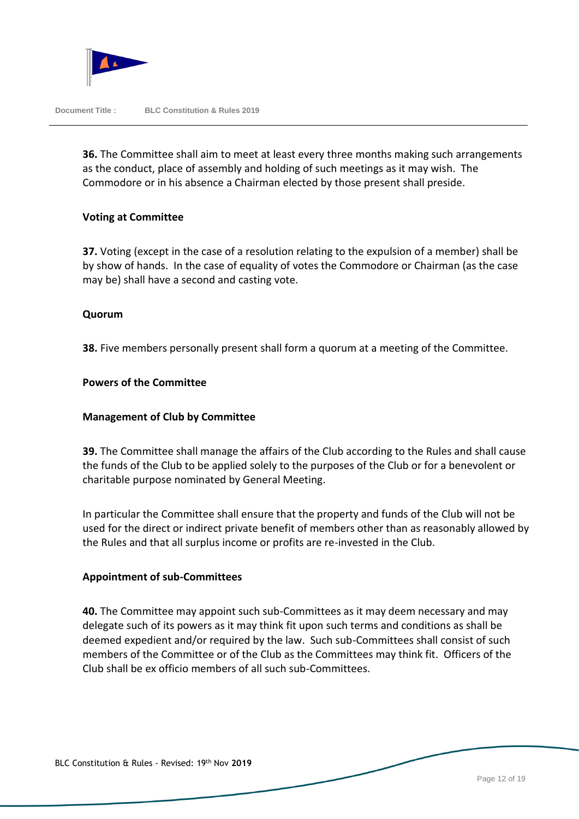

**36.** The Committee shall aim to meet at least every three months making such arrangements as the conduct, place of assembly and holding of such meetings as it may wish. The Commodore or in his absence a Chairman elected by those present shall preside.

#### **Voting at Committee**

**37.** Voting (except in the case of a resolution relating to the expulsion of a member) shall be by show of hands. In the case of equality of votes the Commodore or Chairman (as the case may be) shall have a second and casting vote.

#### **Quorum**

**38.** Five members personally present shall form a quorum at a meeting of the Committee.

#### **Powers of the Committee**

#### **Management of Club by Committee**

**39.** The Committee shall manage the affairs of the Club according to the Rules and shall cause the funds of the Club to be applied solely to the purposes of the Club or for a benevolent or charitable purpose nominated by General Meeting.

In particular the Committee shall ensure that the property and funds of the Club will not be used for the direct or indirect private benefit of members other than as reasonably allowed by the Rules and that all surplus income or profits are re-invested in the Club.

#### **Appointment of sub-Committees**

**40.** The Committee may appoint such sub-Committees as it may deem necessary and may delegate such of its powers as it may think fit upon such terms and conditions as shall be deemed expedient and/or required by the law. Such sub-Committees shall consist of such members of the Committee or of the Club as the Committees may think fit. Officers of the Club shall be ex officio members of all such sub-Committees.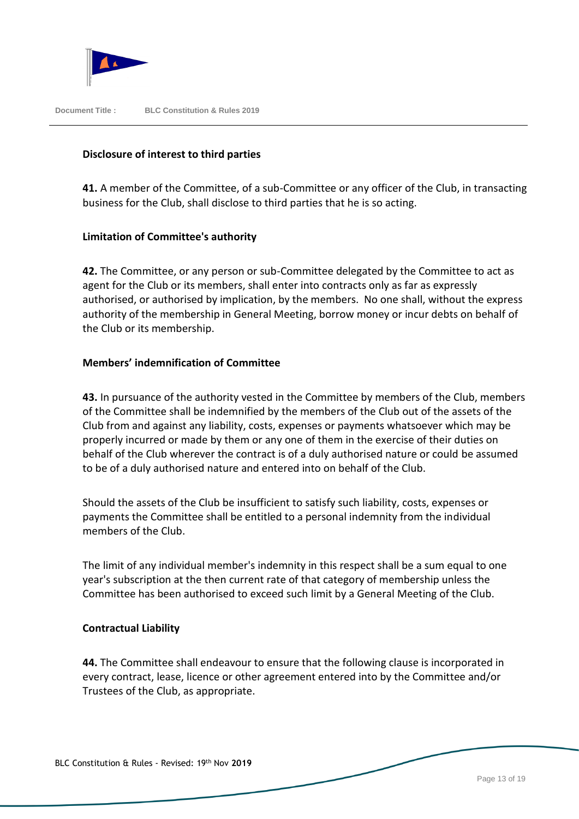

# **Disclosure of interest to third parties**

**41.** A member of the Committee, of a sub-Committee or any officer of the Club, in transacting business for the Club, shall disclose to third parties that he is so acting.

# **Limitation of Committee's authority**

**42.** The Committee, or any person or sub-Committee delegated by the Committee to act as agent for the Club or its members, shall enter into contracts only as far as expressly authorised, or authorised by implication, by the members. No one shall, without the express authority of the membership in General Meeting, borrow money or incur debts on behalf of the Club or its membership.

# **Members' indemnification of Committee**

**43.** In pursuance of the authority vested in the Committee by members of the Club, members of the Committee shall be indemnified by the members of the Club out of the assets of the Club from and against any liability, costs, expenses or payments whatsoever which may be properly incurred or made by them or any one of them in the exercise of their duties on behalf of the Club wherever the contract is of a duly authorised nature or could be assumed to be of a duly authorised nature and entered into on behalf of the Club.

Should the assets of the Club be insufficient to satisfy such liability, costs, expenses or payments the Committee shall be entitled to a personal indemnity from the individual members of the Club.

The limit of any individual member's indemnity in this respect shall be a sum equal to one year's subscription at the then current rate of that category of membership unless the Committee has been authorised to exceed such limit by a General Meeting of the Club.

# **Contractual Liability**

**44.** The Committee shall endeavour to ensure that the following clause is incorporated in every contract, lease, licence or other agreement entered into by the Committee and/or Trustees of the Club, as appropriate.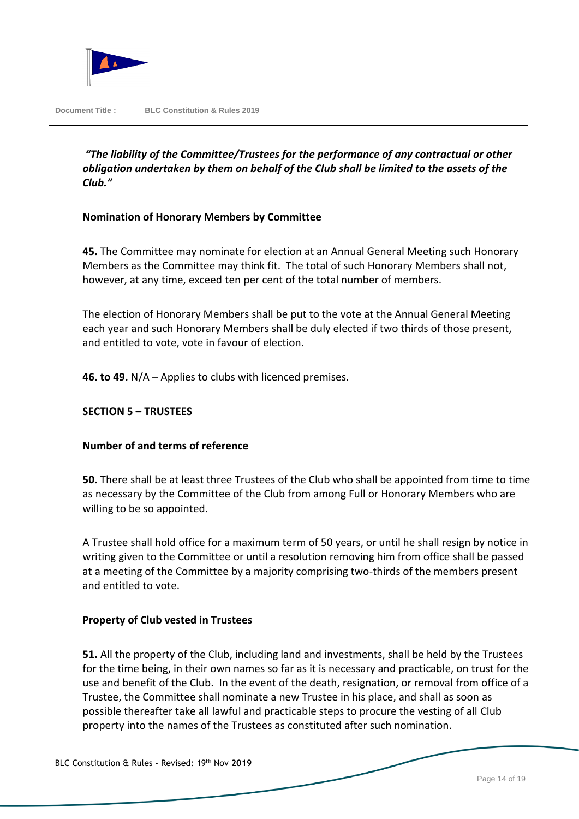

*"The liability of the Committee/Trustees for the performance of any contractual or other obligation undertaken by them on behalf of the Club shall be limited to the assets of the Club."* 

# **Nomination of Honorary Members by Committee**

**45.** The Committee may nominate for election at an Annual General Meeting such Honorary Members as the Committee may think fit. The total of such Honorary Members shall not, however, at any time, exceed ten per cent of the total number of members.

The election of Honorary Members shall be put to the vote at the Annual General Meeting each year and such Honorary Members shall be duly elected if two thirds of those present, and entitled to vote, vote in favour of election.

**46. to 49.** N/A – Applies to clubs with licenced premises.

# **SECTION 5 – TRUSTEES**

# **Number of and terms of reference**

**50.** There shall be at least three Trustees of the Club who shall be appointed from time to time as necessary by the Committee of the Club from among Full or Honorary Members who are willing to be so appointed.

A Trustee shall hold office for a maximum term of 50 years, or until he shall resign by notice in writing given to the Committee or until a resolution removing him from office shall be passed at a meeting of the Committee by a majority comprising two-thirds of the members present and entitled to vote.

# **Property of Club vested in Trustees**

**51.** All the property of the Club, including land and investments, shall be held by the Trustees for the time being, in their own names so far as it is necessary and practicable, on trust for the use and benefit of the Club. In the event of the death, resignation, or removal from office of a Trustee, the Committee shall nominate a new Trustee in his place, and shall as soon as possible thereafter take all lawful and practicable steps to procure the vesting of all Club property into the names of the Trustees as constituted after such nomination.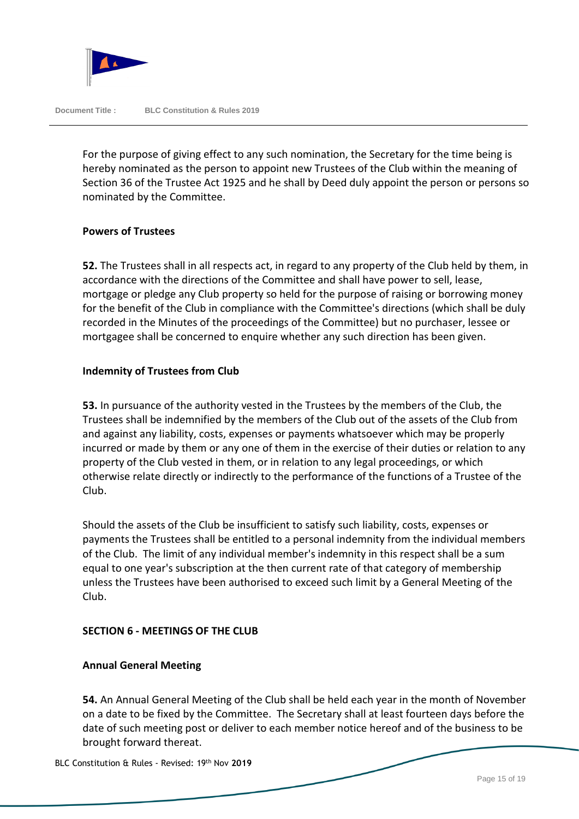

For the purpose of giving effect to any such nomination, the Secretary for the time being is hereby nominated as the person to appoint new Trustees of the Club within the meaning of Section 36 of the Trustee Act 1925 and he shall by Deed duly appoint the person or persons so nominated by the Committee.

#### **Powers of Trustees**

**52.** The Trustees shall in all respects act, in regard to any property of the Club held by them, in accordance with the directions of the Committee and shall have power to sell, lease, mortgage or pledge any Club property so held for the purpose of raising or borrowing money for the benefit of the Club in compliance with the Committee's directions (which shall be duly recorded in the Minutes of the proceedings of the Committee) but no purchaser, lessee or mortgagee shall be concerned to enquire whether any such direction has been given.

# **Indemnity of Trustees from Club**

**53.** In pursuance of the authority vested in the Trustees by the members of the Club, the Trustees shall be indemnified by the members of the Club out of the assets of the Club from and against any liability, costs, expenses or payments whatsoever which may be properly incurred or made by them or any one of them in the exercise of their duties or relation to any property of the Club vested in them, or in relation to any legal proceedings, or which otherwise relate directly or indirectly to the performance of the functions of a Trustee of the Club.

Should the assets of the Club be insufficient to satisfy such liability, costs, expenses or payments the Trustees shall be entitled to a personal indemnity from the individual members of the Club. The limit of any individual member's indemnity in this respect shall be a sum equal to one year's subscription at the then current rate of that category of membership unless the Trustees have been authorised to exceed such limit by a General Meeting of the Club.

# **SECTION 6 - MEETINGS OF THE CLUB**

# **Annual General Meeting**

**54.** An Annual General Meeting of the Club shall be held each year in the month of November on a date to be fixed by the Committee. The Secretary shall at least fourteen days before the date of such meeting post or deliver to each member notice hereof and of the business to be brought forward thereat.

BLC Constitution & Rules - Revised: 19th Nov **2019**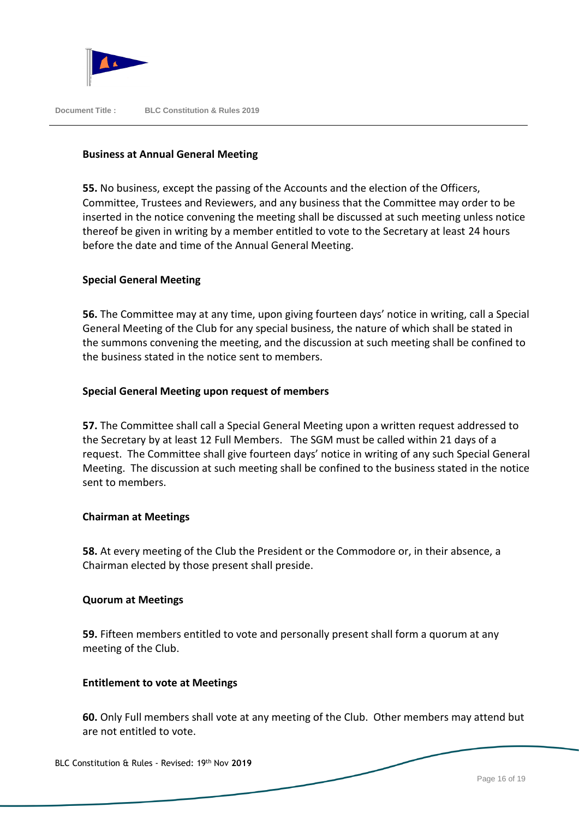

# **Business at Annual General Meeting**

**55.** No business, except the passing of the Accounts and the election of the Officers, Committee, Trustees and Reviewers, and any business that the Committee may order to be inserted in the notice convening the meeting shall be discussed at such meeting unless notice thereof be given in writing by a member entitled to vote to the Secretary at least 24 hours before the date and time of the Annual General Meeting.

# **Special General Meeting**

**56.** The Committee may at any time, upon giving fourteen days' notice in writing, call a Special General Meeting of the Club for any special business, the nature of which shall be stated in the summons convening the meeting, and the discussion at such meeting shall be confined to the business stated in the notice sent to members.

# **Special General Meeting upon request of members**

**57.** The Committee shall call a Special General Meeting upon a written request addressed to the Secretary by at least 12 Full Members. The SGM must be called within 21 days of a request. The Committee shall give fourteen days' notice in writing of any such Special General Meeting. The discussion at such meeting shall be confined to the business stated in the notice sent to members.

#### **Chairman at Meetings**

**58.** At every meeting of the Club the President or the Commodore or, in their absence, a Chairman elected by those present shall preside.

#### **Quorum at Meetings**

**59.** Fifteen members entitled to vote and personally present shall form a quorum at any meeting of the Club.

#### **Entitlement to vote at Meetings**

**60.** Only Full members shall vote at any meeting of the Club. Other members may attend but are not entitled to vote.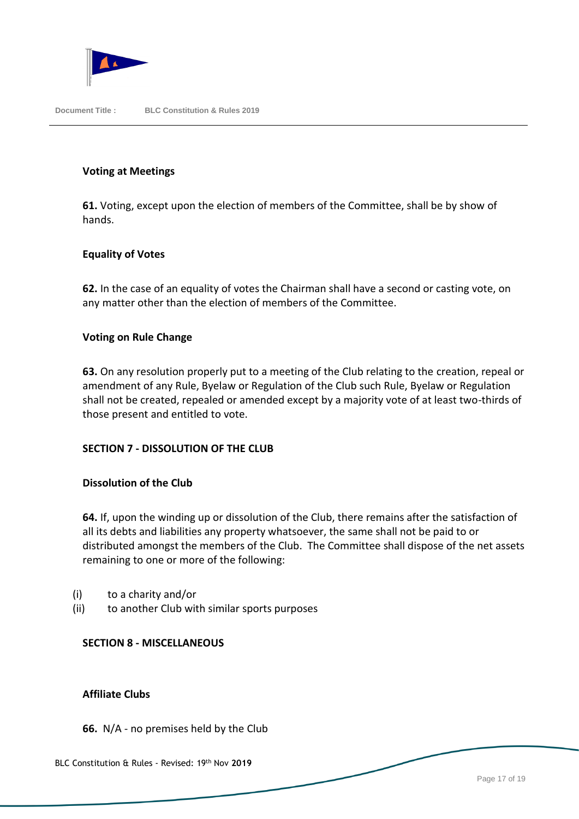

#### **Voting at Meetings**

**61.** Voting, except upon the election of members of the Committee, shall be by show of hands.

# **Equality of Votes**

**62.** In the case of an equality of votes the Chairman shall have a second or casting vote, on any matter other than the election of members of the Committee.

#### **Voting on Rule Change**

**63.** On any resolution properly put to a meeting of the Club relating to the creation, repeal or amendment of any Rule, Byelaw or Regulation of the Club such Rule, Byelaw or Regulation shall not be created, repealed or amended except by a majority vote of at least two-thirds of those present and entitled to vote.

#### **SECTION 7 - DISSOLUTION OF THE CLUB**

#### **Dissolution of the Club**

**64.** If, upon the winding up or dissolution of the Club, there remains after the satisfaction of all its debts and liabilities any property whatsoever, the same shall not be paid to or distributed amongst the members of the Club. The Committee shall dispose of the net assets remaining to one or more of the following:

- (i) to a charity and/or
- (ii) to another Club with similar sports purposes

# **SECTION 8 - MISCELLANEOUS**

#### **Affiliate Clubs**

**66.** N/A - no premises held by the Club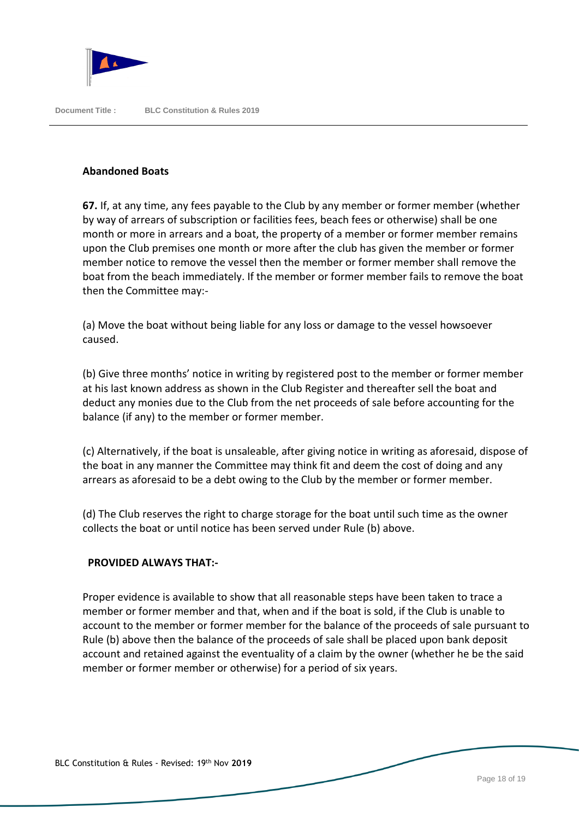

#### **Abandoned Boats**

**67.** If, at any time, any fees payable to the Club by any member or former member (whether by way of arrears of subscription or facilities fees, beach fees or otherwise) shall be one month or more in arrears and a boat, the property of a member or former member remains upon the Club premises one month or more after the club has given the member or former member notice to remove the vessel then the member or former member shall remove the boat from the beach immediately. If the member or former member fails to remove the boat then the Committee may:-

(a) Move the boat without being liable for any loss or damage to the vessel howsoever caused.

(b) Give three months' notice in writing by registered post to the member or former member at his last known address as shown in the Club Register and thereafter sell the boat and deduct any monies due to the Club from the net proceeds of sale before accounting for the balance (if any) to the member or former member.

(c) Alternatively, if the boat is unsaleable, after giving notice in writing as aforesaid, dispose of the boat in any manner the Committee may think fit and deem the cost of doing and any arrears as aforesaid to be a debt owing to the Club by the member or former member.

(d) The Club reserves the right to charge storage for the boat until such time as the owner collects the boat or until notice has been served under Rule (b) above.

# **PROVIDED ALWAYS THAT:-**

Proper evidence is available to show that all reasonable steps have been taken to trace a member or former member and that, when and if the boat is sold, if the Club is unable to account to the member or former member for the balance of the proceeds of sale pursuant to Rule (b) above then the balance of the proceeds of sale shall be placed upon bank deposit account and retained against the eventuality of a claim by the owner (whether he be the said member or former member or otherwise) for a period of six years.